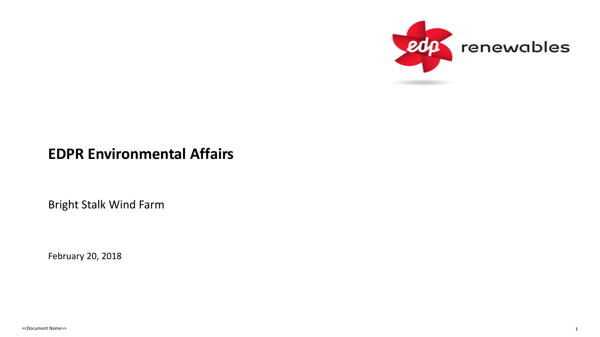

### **EDPR Environmental Affairs**

Bright Stalk Wind Farm

February 20, 2018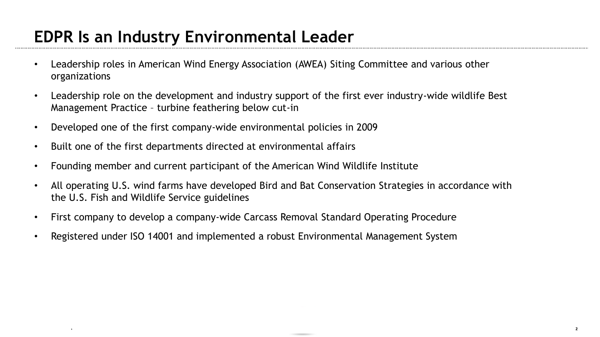# **EDPR Is an Industry Environmental Leader**

- Leadership roles in American Wind Energy Association (AWEA) Siting Committee and various other organizations
- Leadership role on the development and industry support of the first ever industry-wide wildlife Best Management Practice – turbine feathering below cut-in
- Developed one of the first company-wide environmental policies in 2009
- Built one of the first departments directed at environmental affairs

departament Names (Names Names Names Names Names Names Names Names Names Names Names Names Names Names Names N<br>Names Names Names Names Names Names Names Names Names Names Names Names Names Names Names Names Names Names Na

- Founding member and current participant of the American Wind Wildlife Institute
- All operating U.S. wind farms have developed Bird and Bat Conservation Strategies in accordance with the U.S. Fish and Wildlife Service guidelines
- First company to develop a company-wide Carcass Removal Standard Operating Procedure
- Registered under ISO 14001 and implemented a robust Environmental Management System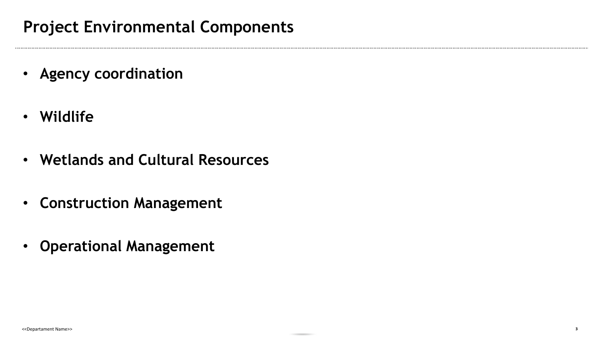- **Agency coordination**
- **Wildlife**
- **Wetlands and Cultural Resources**
- **Construction Management**
- **Operational Management**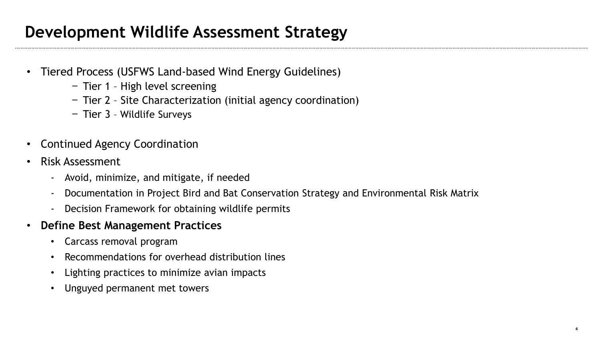# **Development Wildlife Assessment Strategy**

- Tiered Process (USFWS Land-based Wind Energy Guidelines)
	- − Tier 1 High level screening
	- − Tier 2 Site Characterization (initial agency coordination)
	- − Tier 3 Wildlife Surveys
- Continued Agency Coordination
- Risk Assessment
	- Avoid, minimize, and mitigate, if needed
	- Documentation in Project Bird and Bat Conservation Strategy and Environmental Risk Matrix
	- Decision Framework for obtaining wildlife permits
- **Define Best Management Practices** 
	- Carcass removal program
	- Recommendations for overhead distribution lines
	- Lighting practices to minimize avian impacts
	- Unguyed permanent met towers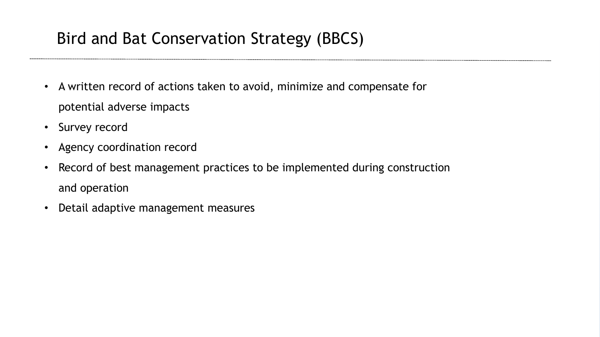# Bird and Bat Conservation Strategy (BBCS)

- A written record of actions taken to avoid, minimize and compensate for potential adverse impacts
- Survey record
- Agency coordination record
- Record of best management practices to be implemented during construction and operation
- Detail adaptive management measures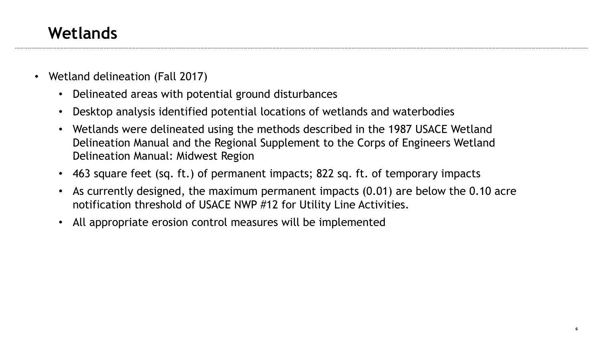## **Wetlands**

- Wetland delineation (Fall 2017)
	- Delineated areas with potential ground disturbances
	- Desktop analysis identified potential locations of wetlands and waterbodies
	- Wetlands were delineated using the methods described in the 1987 USACE Wetland Delineation Manual and the Regional Supplement to the Corps of Engineers Wetland Delineation Manual: Midwest Region
	- 463 square feet (sq. ft.) of permanent impacts; 822 sq. ft. of temporary impacts
	- As currently designed, the maximum permanent impacts (0.01) are below the 0.10 acre notification threshold of USACE NWP #12 for Utility Line Activities.
	- All appropriate erosion control measures will be implemented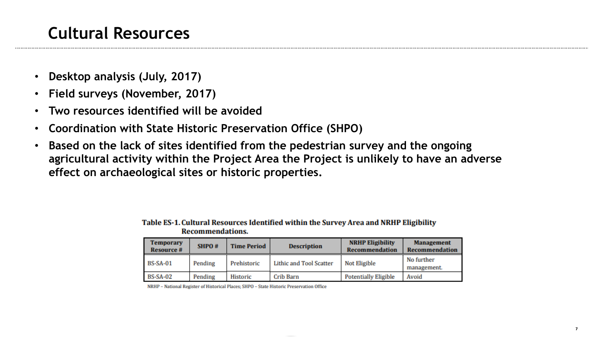# **Cultural Resources**

- **Desktop analysis (July, 2017)**
- **Field surveys (November, 2017)**
- **Two resources identified will be avoided**
- **Coordination with State Historic Preservation Office (SHPO)**
- **Based on the lack of sites identified from the pedestrian survey and the ongoing agricultural activity within the Project Area the Project is unlikely to have an adverse effect on archaeological sites or historic properties.**

| <b>Temporary</b><br><b>Resource #</b> | SHPO#   | <b>Time Period</b> | <b>Description</b>      | <b>NRHP Eligibility</b><br><b>Recommendation</b> | <b>Management</b><br><b>Recommendation</b> |
|---------------------------------------|---------|--------------------|-------------------------|--------------------------------------------------|--------------------------------------------|
| <b>BS-SA-01</b>                       | Pending | Prehistoric        | Lithic and Tool Scatter | <b>Not Eligible</b>                              | No further<br>management.                  |
| <b>BS-SA-02</b>                       | Pending | Historic           | Crib Barn               | <b>Potentially Eligible</b>                      | Avoid                                      |

Table ES-1. Cultural Resources Identified within the Survey Area and NRHP Eligibility **Recommendations.** 

NRHP - National Register of Historical Places; SHPO - State Historic Preservation Office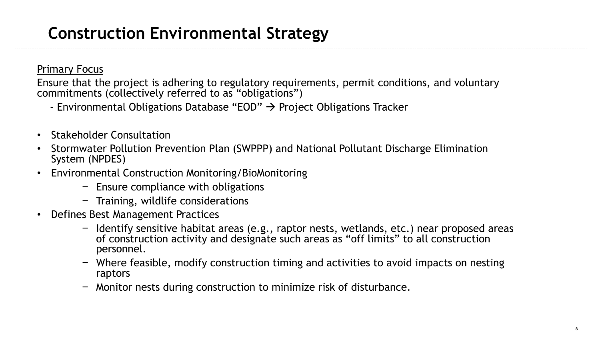# **Construction Environmental Strategy**

#### Primary Focus

Ensure that the project is adhering to regulatory requirements, permit conditions, and voluntary commitments (collectively referred to as "obligations")

- Environmental Obligations Database "EOD"  $\rightarrow$  Project Obligations Tracker
- Stakeholder Consultation
- Stormwater Pollution Prevention Plan (SWPPP) and National Pollutant Discharge Elimination System (NPDES)
- Environmental Construction Monitoring/BioMonitoring
	- − Ensure compliance with obligations
	- − Training, wildlife considerations
- Defines Best Management Practices
	- − Identify sensitive habitat areas (e.g., raptor nests, wetlands, etc.) near proposed areas of construction activity and designate such areas as "off limits" to all construction personnel.
	- − Where feasible, modify construction timing and activities to avoid impacts on nesting raptors
	- − Monitor nests during construction to minimize risk of disturbance.